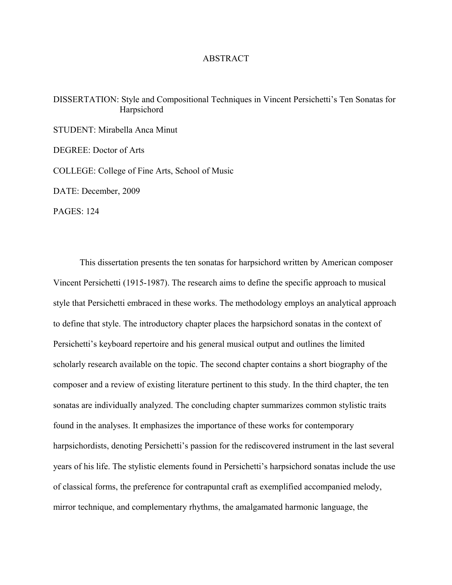## ABSTRACT

DISSERTATION: Style and Compositional Techniques in Vincent Persichetti's Ten Sonatas for Harpsichord

STUDENT: Mirabella Anca Minut DEGREE: Doctor of Arts COLLEGE: College of Fine Arts, School of Music DATE: December, 2009

PAGES: 124

This dissertation presents the ten sonatas for harpsichord written by American composer Vincent Persichetti (1915-1987). The research aims to define the specific approach to musical style that Persichetti embraced in these works. The methodology employs an analytical approach to define that style. The introductory chapter places the harpsichord sonatas in the context of Persichetti's keyboard repertoire and his general musical output and outlines the limited scholarly research available on the topic. The second chapter contains a short biography of the composer and a review of existing literature pertinent to this study. In the third chapter, the ten sonatas are individually analyzed. The concluding chapter summarizes common stylistic traits found in the analyses. It emphasizes the importance of these works for contemporary harpsichordists, denoting Persichetti's passion for the rediscovered instrument in the last several years of his life. The stylistic elements found in Persichetti's harpsichord sonatas include the use of classical forms, the preference for contrapuntal craft as exemplified accompanied melody, mirror technique, and complementary rhythms, the amalgamated harmonic language, the